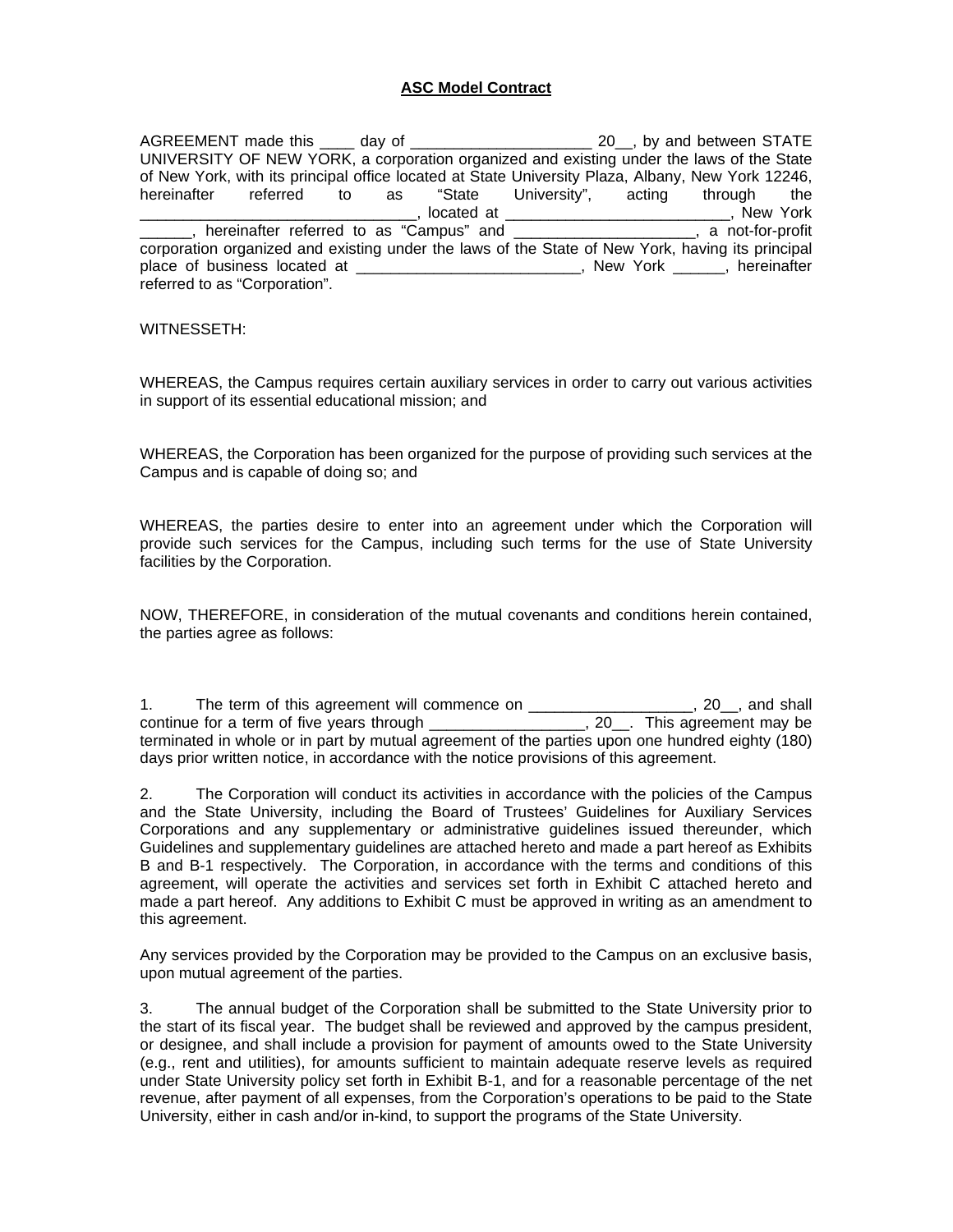## **ASC Model Contract**

AGREEMENT made this \_\_\_\_ day of \_\_\_\_\_\_\_\_\_\_\_\_\_\_\_\_\_\_\_\_\_\_\_\_ 20\_, by and between STATE UNIVERSITY OF NEW YORK, a corporation organized and existing under the laws of the State of New York, with its principal office located at State University Plaza, Albany, New York 12246, hereinafter referred to as "State University", acting through the \_\_\_\_\_\_\_\_\_\_\_\_\_\_\_\_\_\_\_\_\_\_\_\_\_\_\_\_\_\_\_\_, located at \_\_\_\_\_\_\_\_\_\_\_\_\_\_\_\_\_\_\_\_\_\_\_\_\_\_, New York Low meric hereinafter referred to as "Campus" and Low Marting Law Mont-for-profit corporation organized and existing under the laws of the State of New York, having its principal place of business located at  $\qquad \qquad$  New York  $\qquad \qquad$ , hereinafter referred to as "Corporation".

## WITNESSETH:

WHEREAS, the Campus requires certain auxiliary services in order to carry out various activities in support of its essential educational mission; and

WHEREAS, the Corporation has been organized for the purpose of providing such services at the Campus and is capable of doing so; and

WHEREAS, the parties desire to enter into an agreement under which the Corporation will provide such services for the Campus, including such terms for the use of State University facilities by the Corporation.

NOW, THEREFORE, in consideration of the mutual covenants and conditions herein contained, the parties agree as follows:

1. The term of this agreement will commence on \_\_\_\_\_\_\_\_\_\_\_\_\_\_\_\_\_\_\_, 20\_\_, and shall continue for a term of five years through \_\_\_\_\_\_\_\_\_\_\_\_\_\_\_\_\_\_, 20\_\_. This agreement may be terminated in whole or in part by mutual agreement of the parties upon one hundred eighty (180) days prior written notice, in accordance with the notice provisions of this agreement.

2. The Corporation will conduct its activities in accordance with the policies of the Campus and the State University, including the Board of Trustees' Guidelines for Auxiliary Services Corporations and any supplementary or administrative guidelines issued thereunder, which Guidelines and supplementary guidelines are attached hereto and made a part hereof as Exhibits B and B-1 respectively. The Corporation, in accordance with the terms and conditions of this agreement, will operate the activities and services set forth in Exhibit C attached hereto and made a part hereof. Any additions to Exhibit C must be approved in writing as an amendment to this agreement.

Any services provided by the Corporation may be provided to the Campus on an exclusive basis, upon mutual agreement of the parties.

3. The annual budget of the Corporation shall be submitted to the State University prior to the start of its fiscal year. The budget shall be reviewed and approved by the campus president, or designee, and shall include a provision for payment of amounts owed to the State University (e.g., rent and utilities), for amounts sufficient to maintain adequate reserve levels as required under State University policy set forth in Exhibit B-1, and for a reasonable percentage of the net revenue, after payment of all expenses, from the Corporation's operations to be paid to the State University, either in cash and/or in-kind, to support the programs of the State University.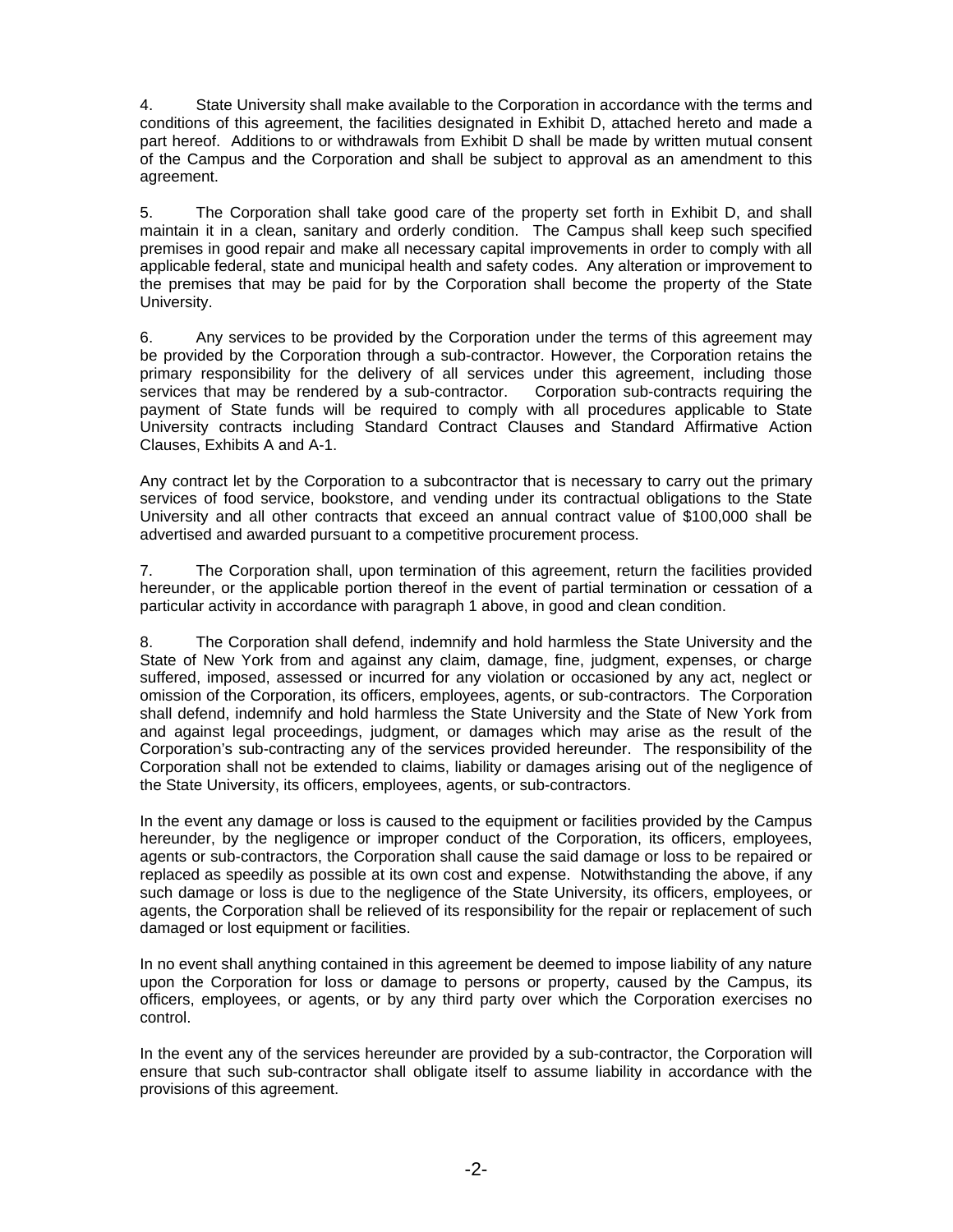4. State University shall make available to the Corporation in accordance with the terms and conditions of this agreement, the facilities designated in Exhibit D, attached hereto and made a part hereof. Additions to or withdrawals from Exhibit D shall be made by written mutual consent of the Campus and the Corporation and shall be subject to approval as an amendment to this agreement.

5. The Corporation shall take good care of the property set forth in Exhibit D, and shall maintain it in a clean, sanitary and orderly condition. The Campus shall keep such specified premises in good repair and make all necessary capital improvements in order to comply with all applicable federal, state and municipal health and safety codes. Any alteration or improvement to the premises that may be paid for by the Corporation shall become the property of the State University.

6. Any services to be provided by the Corporation under the terms of this agreement may be provided by the Corporation through a sub-contractor. However, the Corporation retains the primary responsibility for the delivery of all services under this agreement, including those services that may be rendered by a sub-contractor. Corporation sub-contracts requiring the payment of State funds will be required to comply with all procedures applicable to State University contracts including Standard Contract Clauses and Standard Affirmative Action Clauses, Exhibits A and A-1.

Any contract let by the Corporation to a subcontractor that is necessary to carry out the primary services of food service, bookstore, and vending under its contractual obligations to the State University and all other contracts that exceed an annual contract value of \$100,000 shall be advertised and awarded pursuant to a competitive procurement process.

7. The Corporation shall, upon termination of this agreement, return the facilities provided hereunder, or the applicable portion thereof in the event of partial termination or cessation of a particular activity in accordance with paragraph 1 above, in good and clean condition.

8. The Corporation shall defend, indemnify and hold harmless the State University and the State of New York from and against any claim, damage, fine, judgment, expenses, or charge suffered, imposed, assessed or incurred for any violation or occasioned by any act, neglect or omission of the Corporation, its officers, employees, agents, or sub-contractors. The Corporation shall defend, indemnify and hold harmless the State University and the State of New York from and against legal proceedings, judgment, or damages which may arise as the result of the Corporation's sub-contracting any of the services provided hereunder. The responsibility of the Corporation shall not be extended to claims, liability or damages arising out of the negligence of the State University, its officers, employees, agents, or sub-contractors.

In the event any damage or loss is caused to the equipment or facilities provided by the Campus hereunder, by the negligence or improper conduct of the Corporation, its officers, employees, agents or sub-contractors, the Corporation shall cause the said damage or loss to be repaired or replaced as speedily as possible at its own cost and expense. Notwithstanding the above, if any such damage or loss is due to the negligence of the State University, its officers, employees, or agents, the Corporation shall be relieved of its responsibility for the repair or replacement of such damaged or lost equipment or facilities.

In no event shall anything contained in this agreement be deemed to impose liability of any nature upon the Corporation for loss or damage to persons or property, caused by the Campus, its officers, employees, or agents, or by any third party over which the Corporation exercises no control.

In the event any of the services hereunder are provided by a sub-contractor, the Corporation will ensure that such sub-contractor shall obligate itself to assume liability in accordance with the provisions of this agreement.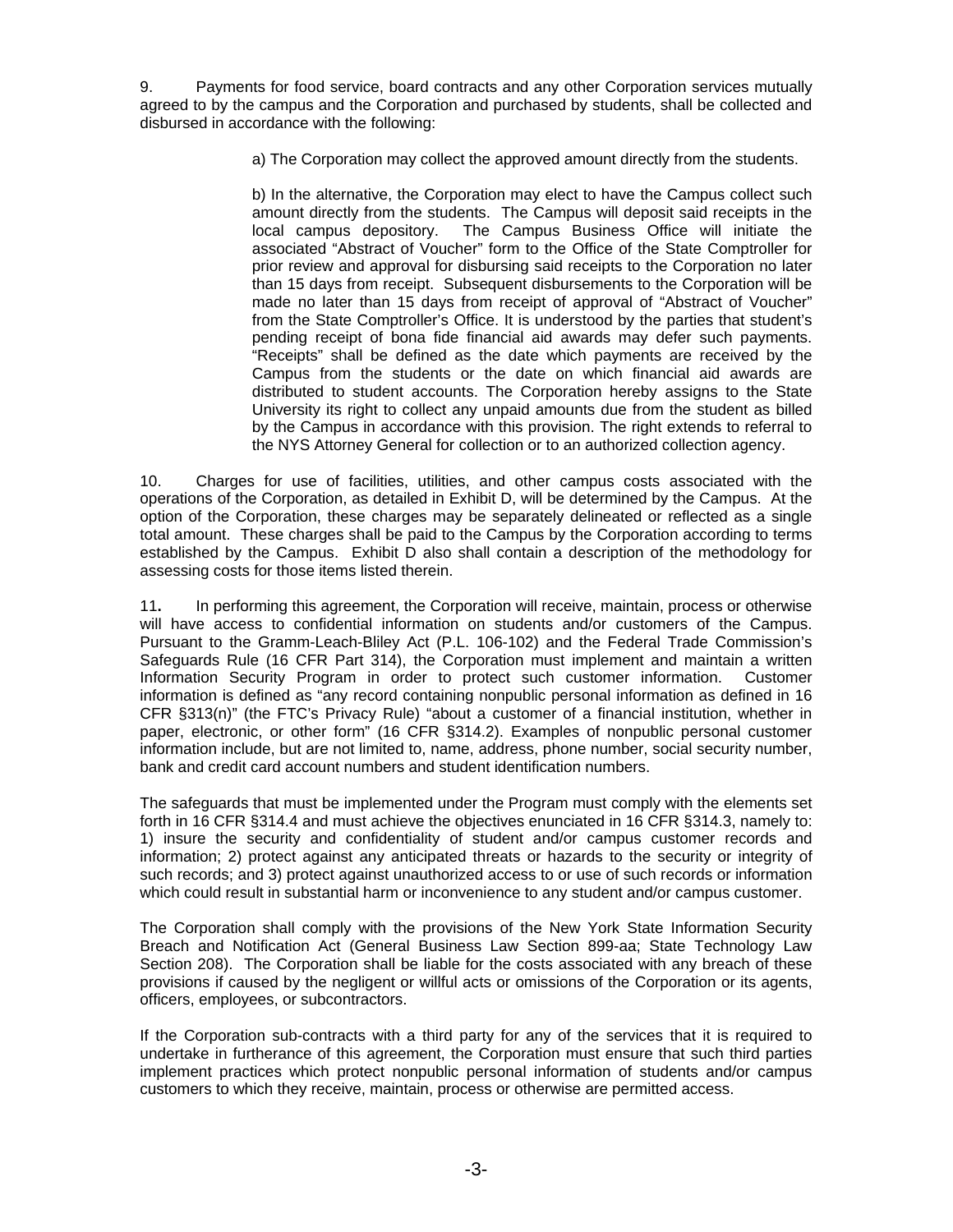9. Payments for food service, board contracts and any other Corporation services mutually agreed to by the campus and the Corporation and purchased by students, shall be collected and disbursed in accordance with the following:

a) The Corporation may collect the approved amount directly from the students.

b) In the alternative, the Corporation may elect to have the Campus collect such amount directly from the students. The Campus will deposit said receipts in the local campus depository. The Campus Business Office will initiate the associated "Abstract of Voucher" form to the Office of the State Comptroller for prior review and approval for disbursing said receipts to the Corporation no later than 15 days from receipt. Subsequent disbursements to the Corporation will be made no later than 15 days from receipt of approval of "Abstract of Voucher" from the State Comptroller's Office. It is understood by the parties that student's pending receipt of bona fide financial aid awards may defer such payments. "Receipts" shall be defined as the date which payments are received by the Campus from the students or the date on which financial aid awards are distributed to student accounts. The Corporation hereby assigns to the State University its right to collect any unpaid amounts due from the student as billed by the Campus in accordance with this provision. The right extends to referral to the NYS Attorney General for collection or to an authorized collection agency.

10. Charges for use of facilities, utilities, and other campus costs associated with the operations of the Corporation, as detailed in Exhibit D, will be determined by the Campus. At the option of the Corporation, these charges may be separately delineated or reflected as a single total amount. These charges shall be paid to the Campus by the Corporation according to terms established by the Campus. Exhibit D also shall contain a description of the methodology for assessing costs for those items listed therein.

11**.** In performing this agreement, the Corporation will receive, maintain, process or otherwise will have access to confidential information on students and/or customers of the Campus. Pursuant to the Gramm-Leach-Bliley Act (P.L. 106-102) and the Federal Trade Commission's Safeguards Rule (16 CFR Part 314), the Corporation must implement and maintain a written Information Security Program in order to protect such customer information. Customer information is defined as "any record containing nonpublic personal information as defined in 16 CFR §313(n)" (the FTC's Privacy Rule) "about a customer of a financial institution, whether in paper, electronic, or other form" (16 CFR §314.2). Examples of nonpublic personal customer information include, but are not limited to, name, address, phone number, social security number, bank and credit card account numbers and student identification numbers.

The safeguards that must be implemented under the Program must comply with the elements set forth in 16 CFR §314.4 and must achieve the objectives enunciated in 16 CFR §314.3, namely to: 1) insure the security and confidentiality of student and/or campus customer records and information; 2) protect against any anticipated threats or hazards to the security or integrity of such records; and 3) protect against unauthorized access to or use of such records or information which could result in substantial harm or inconvenience to any student and/or campus customer.

The Corporation shall comply with the provisions of the New York State Information Security Breach and Notification Act (General Business Law Section 899-aa; State Technology Law Section 208). The Corporation shall be liable for the costs associated with any breach of these provisions if caused by the negligent or willful acts or omissions of the Corporation or its agents, officers, employees, or subcontractors.

If the Corporation sub-contracts with a third party for any of the services that it is required to undertake in furtherance of this agreement, the Corporation must ensure that such third parties implement practices which protect nonpublic personal information of students and/or campus customers to which they receive, maintain, process or otherwise are permitted access.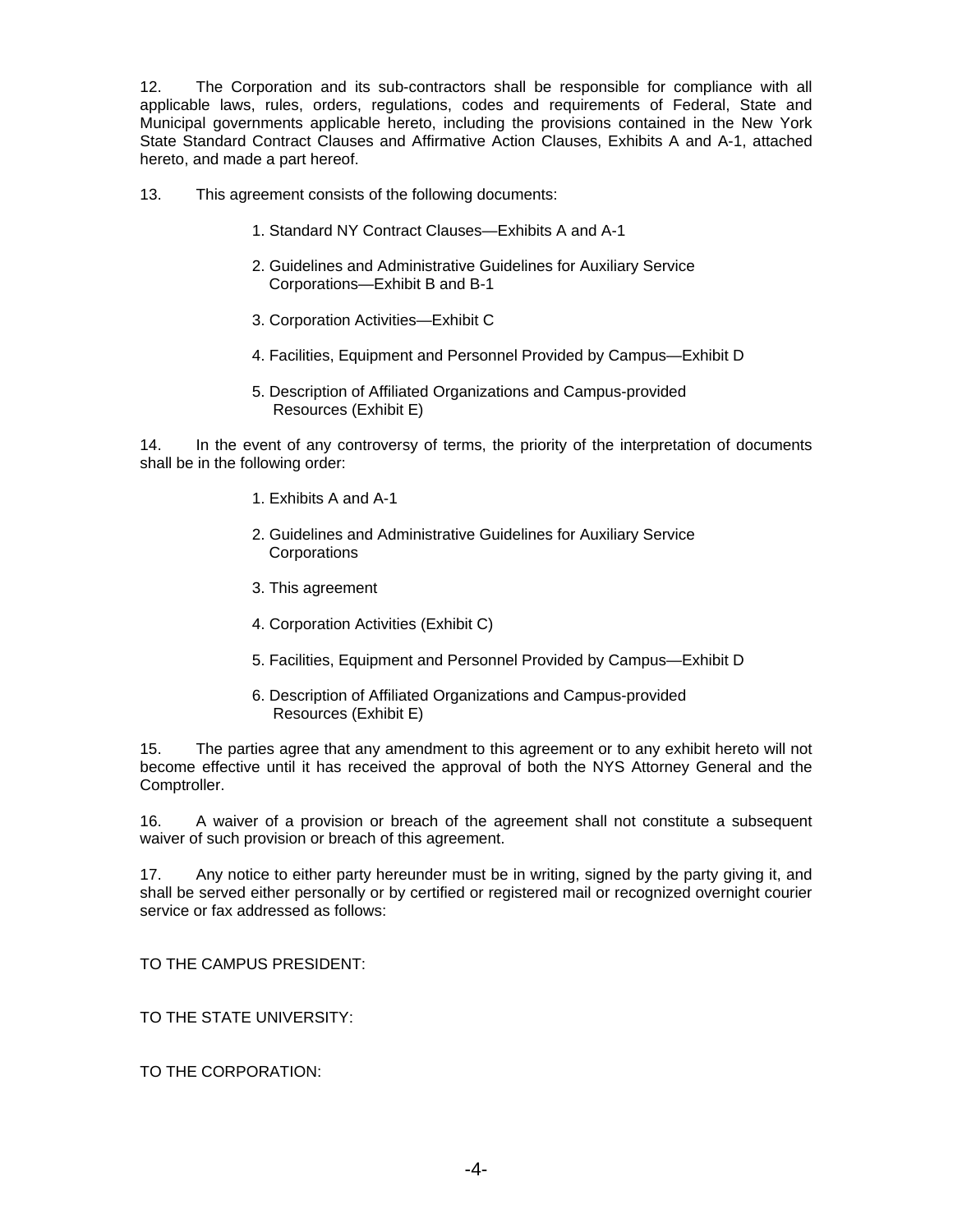12. The Corporation and its sub-contractors shall be responsible for compliance with all applicable laws, rules, orders, regulations, codes and requirements of Federal, State and Municipal governments applicable hereto, including the provisions contained in the New York State Standard Contract Clauses and Affirmative Action Clauses, Exhibits A and A-1, attached hereto, and made a part hereof.

- 13. This agreement consists of the following documents:
	- 1. Standard NY Contract Clauses—Exhibits A and A-1
	- 2. Guidelines and Administrative Guidelines for Auxiliary Service Corporations—Exhibit B and B-1
	- 3. Corporation Activities—Exhibit C
	- 4. Facilities, Equipment and Personnel Provided by Campus—Exhibit D
	- 5. Description of Affiliated Organizations and Campus-provided Resources (Exhibit E)

14. In the event of any controversy of terms, the priority of the interpretation of documents shall be in the following order:

- 1. Exhibits A and A-1
- 2. Guidelines and Administrative Guidelines for Auxiliary Service **Corporations**
- 3. This agreement
- 4. Corporation Activities (Exhibit C)
- 5. Facilities, Equipment and Personnel Provided by Campus—Exhibit D
- 6. Description of Affiliated Organizations and Campus-provided Resources (Exhibit E)

15. The parties agree that any amendment to this agreement or to any exhibit hereto will not become effective until it has received the approval of both the NYS Attorney General and the Comptroller.

16. A waiver of a provision or breach of the agreement shall not constitute a subsequent waiver of such provision or breach of this agreement.

17. Any notice to either party hereunder must be in writing, signed by the party giving it, and shall be served either personally or by certified or registered mail or recognized overnight courier service or fax addressed as follows:

TO THE CAMPUS PRESIDENT:

TO THE STATE UNIVERSITY:

TO THE CORPORATION: